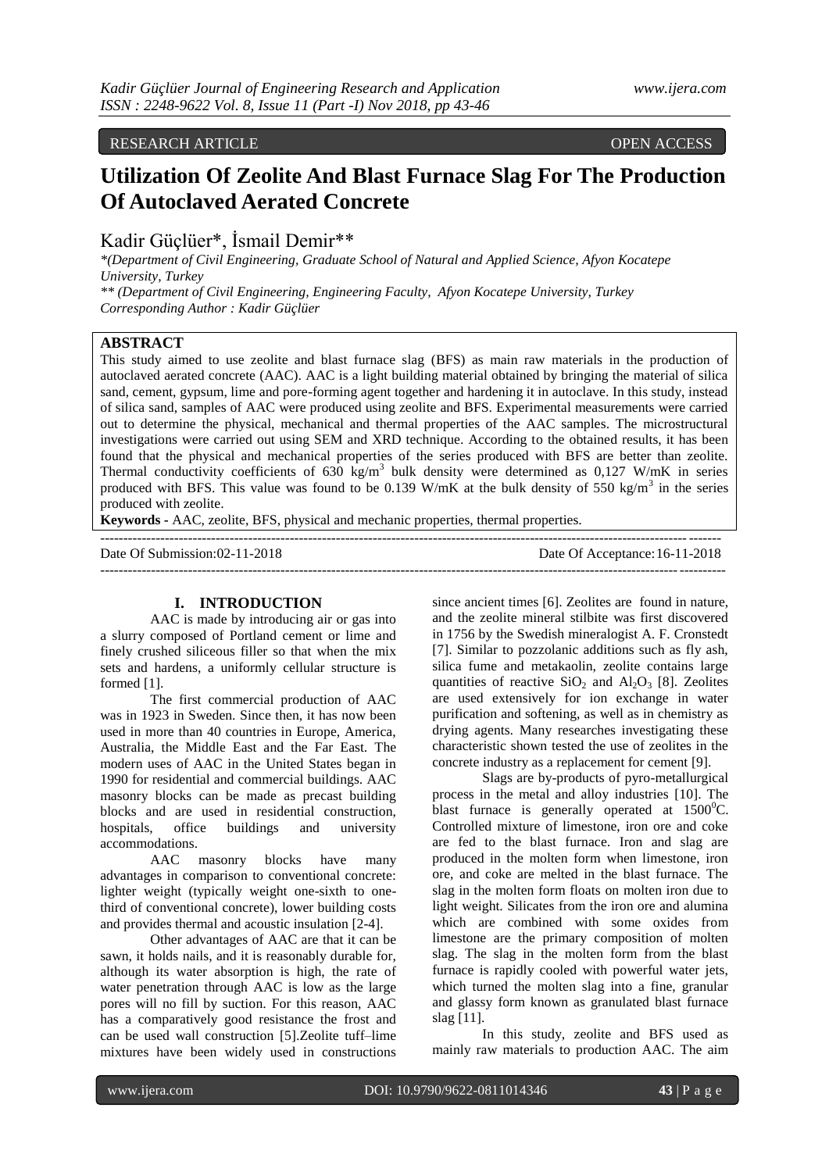# RESEARCH ARTICLE OPEN ACCESS

# **Utilization Of Zeolite And Blast Furnace Slag For The Production Of Autoclaved Aerated Concrete**

Kadir Güçlüer\*, İsmail Demir\*\*

*\*(Department of Civil Engineering, Graduate School of Natural and Applied Science, Afyon Kocatepe University, Turkey*

*\*\* (Department of Civil Engineering, Engineering Faculty, Afyon Kocatepe University, Turkey Corresponding Author : Kadir Güçlüer*

## **ABSTRACT**

This study aimed to use zeolite and blast furnace slag (BFS) as main raw materials in the production of autoclaved aerated concrete (AAC). AAC is a light building material obtained by bringing the material of silica sand, cement, gypsum, lime and pore-forming agent together and hardening it in autoclave. In this study, instead of silica sand, samples of AAC were produced using zeolite and BFS. Experimental measurements were carried out to determine the physical, mechanical and thermal properties of the AAC samples. The microstructural investigations were carried out using SEM and XRD technique. According to the obtained results, it has been found that the physical and mechanical properties of the series produced with BFS are better than zeolite. Thermal conductivity coefficients of 630 kg/m<sup>3</sup> bulk density were determined as  $0,127$  W/mK in series produced with BFS. This value was found to be 0.139 W/mK at the bulk density of 550 kg/m<sup>3</sup> in the series produced with zeolite.

--------------------------------------------------------------------------------------------------------------------------------------

**Keywords -** AAC, zeolite, BFS, physical and mechanic properties, thermal properties.

Date Of Submission:02-11-2018 Date Of Acceptance:16-11-2018 ---------------------------------------------------------------------------------------------------------------------------------------

#### **I. INTRODUCTION**

AAC is made by introducing air or gas into a slurry composed of Portland cement or lime and finely crushed siliceous filler so that when the mix sets and hardens, a uniformly cellular structure is formed [1].

The first commercial production of AAC was in 1923 in Sweden. Since then, it has now been used in more than 40 countries in Europe, America, Australia, the Middle East and the Far East. The modern uses of AAC in the United States began in 1990 for residential and commercial buildings. AAC masonry blocks can be made as precast building blocks and are used in residential construction, hospitals, office buildings and university accommodations.

AAC masonry blocks have many advantages in comparison to conventional concrete: lighter weight (typically weight one-sixth to onethird of conventional concrete), lower building costs and provides thermal and acoustic insulation [2-4].

Other advantages of AAC are that it can be sawn, it holds nails, and it is reasonably durable for, although its water absorption is high, the rate of water penetration through AAC is low as the large pores will no fill by suction. For this reason, AAC has a comparatively good resistance the frost and can be used wall construction [5].Zeolite tuff–lime mixtures have been widely used in constructions

since ancient times [6]. Zeolites are found in nature, and the zeolite mineral stilbite was first discovered in 1756 by the Swedish mineralogist A. F. Cronstedt [7]. Similar to pozzolanic additions such as fly ash, silica fume and metakaolin, zeolite contains large quantities of reactive  $SiO<sub>2</sub>$  and  $Al<sub>2</sub>O<sub>3</sub>$  [8]. Zeolites are used extensively for ion exchange in water purification and softening, as well as in chemistry as drying agents. Many researches investigating these characteristic shown tested the use of zeolites in the concrete industry as a replacement for cement [9].

Slags are by-products of pyro-metallurgical process in the metal and alloy industries [10]. The blast furnace is generally operated at  $1500^{\circ}$ C. Controlled mixture of limestone, iron ore and coke are fed to the blast furnace. Iron and slag are produced in the molten form when limestone, iron ore, and coke are melted in the blast furnace. The slag in the molten form floats on molten iron due to light weight. Silicates from the iron ore and alumina which are combined with some oxides from limestone are the primary composition of molten slag. The slag in the molten form from the blast furnace is rapidly cooled with powerful water jets, which turned the molten slag into a fine, granular and glassy form known as granulated blast furnace slag [11].

In this study, zeolite and BFS used as mainly raw materials to production AAC. The aim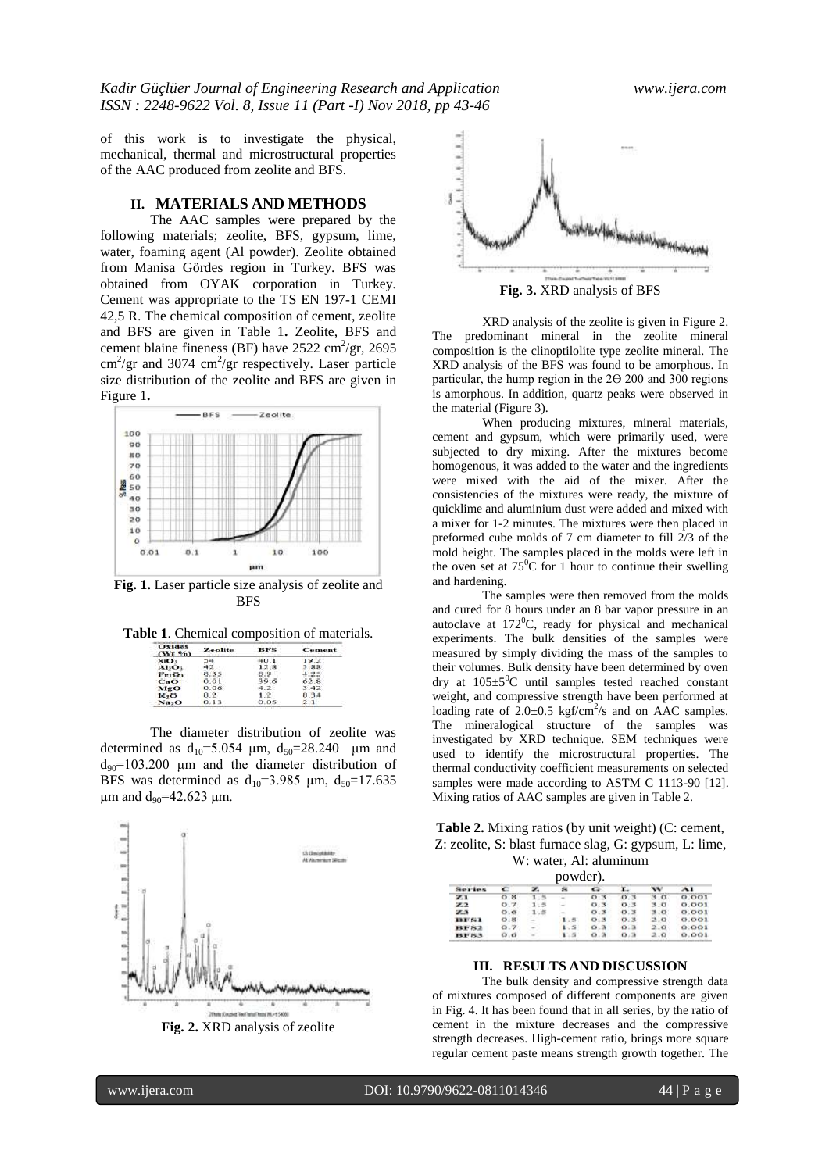of this work is to investigate the physical, mechanical, thermal and microstructural properties of the AAC produced from zeolite and BFS.

#### **II. MATERIALS AND METHODS**

The AAC samples were prepared by the following materials; zeolite, BFS, gypsum, lime, water, foaming agent (Al powder). Zeolite obtained from Manisa Gördes region in Turkey. BFS was obtained from OYAK corporation in Turkey. Cement was appropriate to the TS EN 197-1 CEMI 42,5 R. The chemical composition of cement, zeolite and BFS are given in Table 1**.** Zeolite, BFS and cement blaine fineness (BF) have  $2522 \text{ cm}^2/\text{gr}$ ,  $2695$  $\text{cm}^2/\text{gr}$  and 3074  $\text{cm}^2/\text{gr}$  respectively. Laser particle size distribution of the zeolite and BFS are given in Figure 1**.**



**Table 1**. Chemical composition of materials.

| Oxides<br>(Wt, 96) | <b>Zeolite</b> | 15 F 25 | Comont |  |
|--------------------|----------------|---------|--------|--|
| sio.               | 54             | 40.1    | 19.2   |  |
| AbO.               |                | 12.8    | .9.9.  |  |
| Fe,O,              | 0.35           | 0.9     | $-25$  |  |
| CaO                | 0.01           | 39.6    | 62.8   |  |
| MgO                | 0.06           |         | 3.42.  |  |
| $K2$ O             | 0.2            |         | 0.34   |  |
| Na <sub>2</sub> O  | 0.13           |         |        |  |

The diameter distribution of zeolite was determined as  $d_{10} = 5.054 \mu m$ ,  $d_{50} = 28.240 \mu m$  and  $d_{90}$ =103.200 μm and the diameter distribution of BFS was determined as  $d_{10} = 3.985$  μm,  $d_{50} = 17.635$ μm and  $d_{90}$ =42.623 μm.



**Fig. 2.** XRD analysis of zeolite



XRD analysis of the zeolite is given in Figure 2. The predominant mineral in the zeolite mineral composition is the clinoptilolite type zeolite mineral. The XRD analysis of the BFS was found to be amorphous. In particular, the hump region in the 2Ө 200 and 300 regions is amorphous. In addition, quartz peaks were observed in the material (Figure 3).

When producing mixtures, mineral materials, cement and gypsum, which were primarily used, were subjected to dry mixing. After the mixtures become homogenous, it was added to the water and the ingredients were mixed with the aid of the mixer. After the consistencies of the mixtures were ready, the mixture of quicklime and aluminium dust were added and mixed with a mixer for 1-2 minutes. The mixtures were then placed in preformed cube molds of 7 cm diameter to fill 2/3 of the mold height. The samples placed in the molds were left in the oven set at  $75^{\circ}$ C for 1 hour to continue their swelling and hardening.

The samples were then removed from the molds and cured for 8 hours under an 8 bar vapor pressure in an autoclave at  $172^0$ C, ready for physical and mechanical experiments. The bulk densities of the samples were measured by simply dividing the mass of the samples to their volumes. Bulk density have been determined by oven dry at  $105\pm5\degree C$  until samples tested reached constant weight, and compressive strength have been performed at loading rate of  $2.0 \pm 0.5$  kgf/cm<sup>2</sup>/s and on AAC samples. The mineralogical structure of the samples was investigated by XRD technique. SEM techniques were used to identify the microstructural properties. The thermal conductivity coefficient measurements on selected samples were made according to ASTM C 1113-90 [12]. Mixing ratios of AAC samples are given in Table 2.

| <b>Table 2.</b> Mixing ratios (by unit weight) (C: cement, |
|------------------------------------------------------------|
| Z: zeolite, S: blast furnace slag, G: gypsum, L: lime,     |
| $W^{\dagger}$ water Al aluminum                            |

| powder).       |      |  |     |                |     |     |        |
|----------------|------|--|-----|----------------|-----|-----|--------|
| Service.       |      |  |     | $\sim$         |     |     | $\sim$ |
| 21             | 0.8  |  |     | 0.3            | 0.3 | 3.0 | O. OO1 |
| $\mathbb{Z}2$  | 0.7  |  |     | 0.3            | 0.3 | 3.0 | 0.001  |
| zs             | O.6  |  |     | O.3            | 0.3 | 3.0 | 0.001  |
| <b>IBE SAL</b> | O.85 |  | 1.5 | 0.3            | 0.3 | 2.0 | 0.001  |
| <b>HF82</b>    | 0.7  |  | 1.5 | O <sub>A</sub> | O.3 | 2.0 | 0.001  |
| 191783         | O.6  |  | 1.5 | 0.3            | 0.3 | 2.0 | 0.001  |

# **III. RESULTS AND DISCUSSION**

The bulk density and compressive strength data of mixtures composed of different components are given in Fig. 4. It has been found that in all series, by the ratio of cement in the mixture decreases and the compressive strength decreases. High-cement ratio, brings more square regular cement paste means strength growth together. The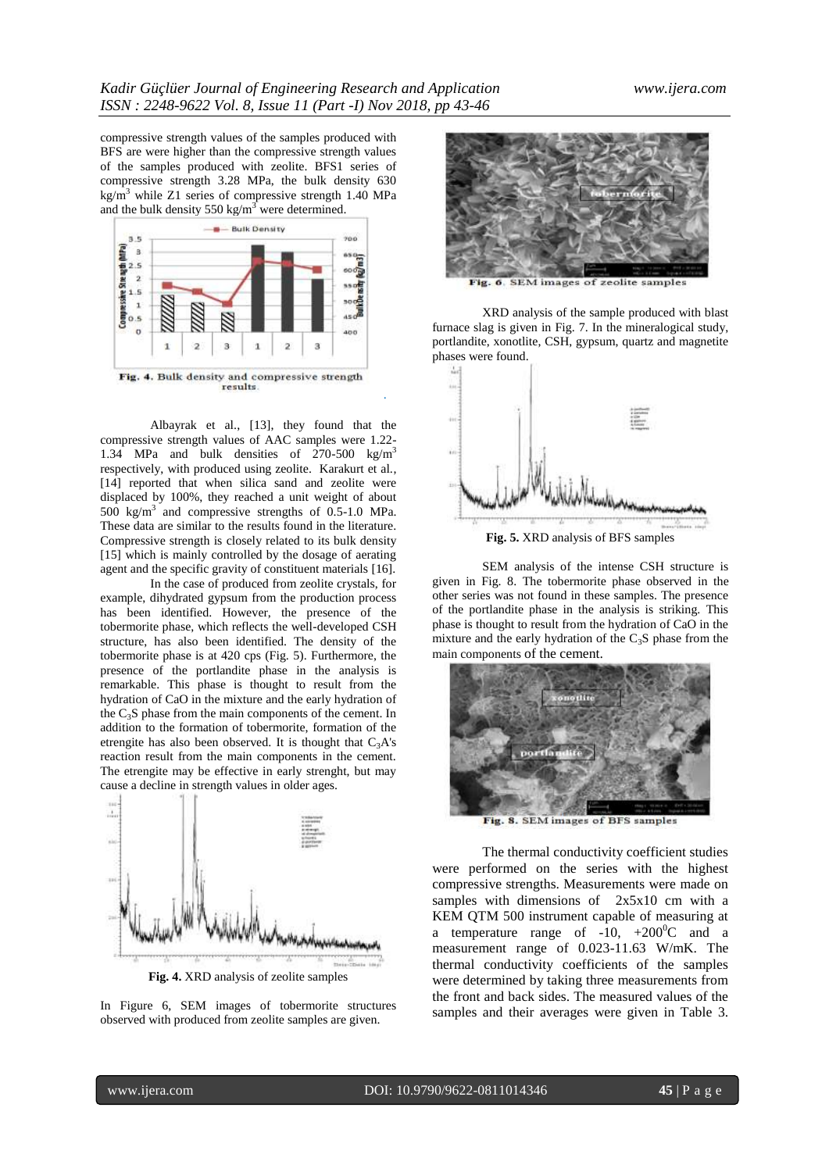.

compressive strength values of the samples produced with BFS are were higher than the compressive strength values of the samples produced with zeolite. BFS1 series of compressive strength 3.28 MPa, the bulk density 630  $kg/m<sup>3</sup>$  while Z1 series of compressive strength 1.40 MPa and the bulk density 550 kg/m<sup>3</sup> were determined.



Albayrak et al., [13], they found that the compressive strength values of AAC samples were 1.22- 1.34 MPa and bulk densities of 270-500 kg/m<sup>3</sup> respectively, with produced using zeolite. Karakurt et al., [14] reported that when silica sand and zeolite were displaced by 100%, they reached a unit weight of about 500 kg/m<sup>3</sup> and compressive strengths of 0.5-1.0 MPa. These data are similar to the results found in the literature. Compressive strength is closely related to its bulk density [15] which is mainly controlled by the dosage of aerating agent and the specific gravity of constituent materials [16].

In the case of produced from zeolite crystals, for example, dihydrated gypsum from the production process has been identified. However, the presence of the tobermorite phase, which reflects the well-developed CSH structure, has also been identified. The density of the tobermorite phase is at 420 cps (Fig. 5). Furthermore, the presence of the portlandite phase in the analysis is remarkable. This phase is thought to result from the hydration of CaO in the mixture and the early hydration of the  $C_3S$  phase from the main components of the cement. In addition to the formation of tobermorite, formation of the etrengite has also been observed. It is thought that  $C_3A's$ reaction result from the main components in the cement. The etrengite may be effective in early strenght, but may cause a decline in strength values in older ages.



In Figure 6, SEM images of tobermorite structures observed with produced from zeolite samples are given.



Fig. 6. SEM images of zeolite samples

XRD analysis of the sample produced with blast furnace slag is given in Fig. 7. In the mineralogical study, portlandite, xonotlite, CSH, gypsum, quartz and magnetite phases were found.



**Fig. 5.** XRD analysis of BFS samples

SEM analysis of the intense CSH structure is given in Fig. 8. The tobermorite phase observed in the other series was not found in these samples. The presence of the portlandite phase in the analysis is striking. This phase is thought to result from the hydration of CaO in the mixture and the early hydration of the  $C_3S$  phase from the main components of the cement.



Fig. 8. SEM images of BFS samples

The thermal conductivity coefficient studies were performed on the series with the highest compressive strengths. Measurements were made on samples with dimensions of 2x5x10 cm with a KEM QTM 500 instrument capable of measuring at a temperature range of  $-10$ ,  $+200^{\circ}\text{C}$  and a measurement range of 0.023-11.63 W/mK. The thermal conductivity coefficients of the samples were determined by taking three measurements from the front and back sides. The measured values of the samples and their averages were given in Table 3.